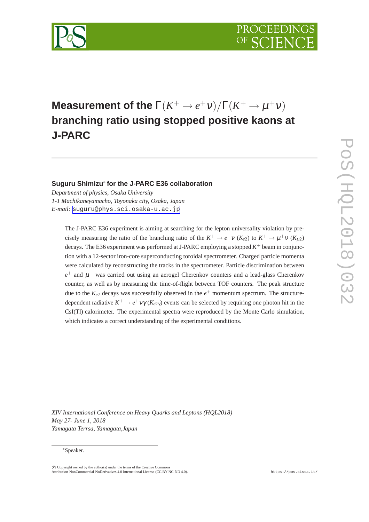

# **Measurement of the**  $\Gamma(K^+ \to e^+ \nu)/\Gamma(K^+ \to \mu^+ \nu)$ **branching ratio using stopped positive kaons at J-PARC**

## **Suguru Shimizu**<sup>∗</sup> **for the J-PARC E36 collaboration**

*Department of physics, Osaka University 1-1 Machikaneyamacho, Toyonaka city, Osaka, Japan E-mail:* [suguru@phys.sci.osaka-u.ac.jp](mailto:suguru@phys.sci.osaka-u.ac.jp)

The J-PARC E36 experiment is aiming at searching for the lepton universality violation by precisely measuring the ratio of the branching ratio of the  $K^+ \to e^+ \nu$  ( $K_{e2}$ ) to  $K^+ \to \mu^+ \nu$  ( $K_{\mu 2}$ ) decays. The E36 experiment was performed at J-PARC employing a stopped  $K^+$  beam in conjunction with a 12-sector iron-core superconducting toroidal spectrometer. Charged particle momenta were calculated by reconstructing the tracks in the spectrometer. Particle discrimination between  $e^+$  and  $\mu^+$  was carried out using an aerogel Cherenkov counters and a lead-glass Cherenkov counter, as well as by measuring the time-of-flight between TOF counters. The peak structure due to the  $K_{e2}$  decays was successfully observed in the  $e^+$  momentum spectrum. The structuredependent radiative  $K^+ \to e^+ \nu \gamma$  ( $K_{e2\gamma}$ ) events can be selected by requiring one photon hit in the CsI(Tl) calorimeter. The experimental spectra were reproduced by the Monte Carlo simulation, which indicates a correct understanding of the experimental conditions.

*XIV International Conference on Heavy Quarks and Leptons (HQL2018) May 27- June 1, 2018 Yamagata Terrsa, Yamagata,Japan*

#### <sup>∗</sup>Speaker.

 $\circ$  Copyright owned by the author(s) under the terms of the Creative Commons Attribution-NonCommercial-NoDerivatives 4.0 International License (CC BY-NC-ND 4.0). https://pos.sissa.it/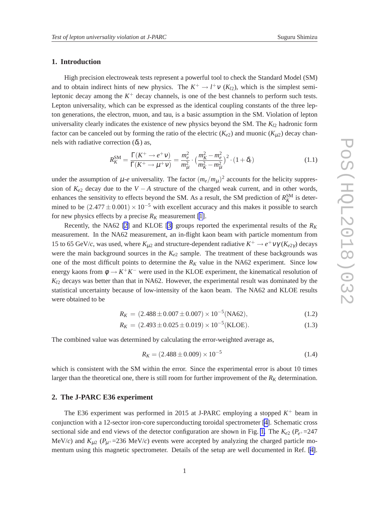#### **1. Introduction**

High precision electroweak tests represent a powerful tool to check the Standard Model (SM) and to obtain indirect hints of new physics. The  $K^+ \to l^+ \nu$  ( $K_{l2}$ ), which is the simplest semileptonic decay among the  $K^+$  decay channels, is one of the best channels to perform such tests. Lepton universality, which can be expressed as the identical coupling constants of the three lepton generations, the electron, muon, and tau, is a basic assumption in the SM. Violation of lepton universality clearly indicates the existence of new physics beyond the SM. The  $K_{12}$  hadronic form factor can be canceled out by forming the ratio of the electric  $(K_{e2})$  and muonic  $(K_{u2})$  decay channels with radiative correction  $(\delta_r)$  as,

$$
R_K^{\rm SM} = \frac{\Gamma(K^+ \to e^+ \nu)}{\Gamma(K^+ \to \mu^+ \nu)} = \frac{m_e^2}{m_\mu^2} \cdot \left(\frac{m_K^2 - m_e^2}{m_K^2 - m_\mu^2}\right)^2 \cdot (1 + \delta_r) \tag{1.1}
$$

under the assumption of  $\mu$ -*e* universality. The factor  $(m_e/m_\mu)^2$  accounts for the helicity suppression of  $K_{e2}$  decay due to the  $V - A$  structure of the charged weak current, and in other words, enhances the sensitivity to effects beyond the SM. As a result, the SM prediction of  $R_K^{\text{SM}}$  is determined to be  $(2.477 \pm 0.001) \times 10^{-5}$  with excellent accuracy and this makes it possible to search for new physics effects by a precise  $R_K$  measurement [\[1\]](#page-6-0).

Recently, the NA62 [\[2\]](#page-6-0) and KLOE [\[3\]](#page-6-0) groups reported the experimental results of the *R<sup>K</sup>* measurement. In the NA62 measurement, an in-flight kaon beam with particle momentum from 15 to 65 GeV/*c*, was used, where  $K_{\mu 2}$  and structure-dependent radiative  $K^+ \to e^+ \nu \gamma (K_{e2\gamma})$  decays were the main background sources in the  $K_{e2}$  sample. The treatment of these backgrounds was one of the most difficult points to determine the  $R_K$  value in the NA62 experiment. Since low energy kaons from  $\phi \to K^+K^-$  were used in the KLOE experiment, the kinematical resolution of  $K_{12}$  decays was better than that in NA62. However, the experimental result was dominated by the statistical uncertainty because of low-intensity of the kaon beam. The NA62 and KLOE results were obtained to be

$$
R_K = (2.488 \pm 0.007 \pm 0.007) \times 10^{-5} (\text{NA62}), \tag{1.2}
$$

$$
R_K = (2.493 \pm 0.025 \pm 0.019) \times 10^{-5} \text{(KLOE)}.
$$
 (1.3)

The combined value was determined by calculating the error-weighted average as,

$$
R_K = (2.488 \pm 0.009) \times 10^{-5} \tag{1.4}
$$

which is consistent with the SM within the error. Since the experimental error is about 10 times larger than the theoretical one, there is still room for further improvement of the  $R_K$  determination.

#### **2. The J-PARC E36 experiment**

The E36 experiment was performed in 2015 at J-PARC employing a stopped  $K^+$  beam in conjunction with a 12-sector iron-core superconducting toroidal spectrometer [\[4\]](#page-6-0). Schematic cross sectional side and end views of the detector configuration are shown in Fig. [1.](#page-2-0) The  $K_{e2}$  ( $P_{e+}$ =247 MeV/*c*) and  $K_{\mu 2}$  ( $P_{\mu^+}$ =236 MeV/*c*) events were accepted by analyzing the charged particle momentum using this magnetic spectrometer. Details of the setup are well documented in Ref. [\[4\]](#page-6-0).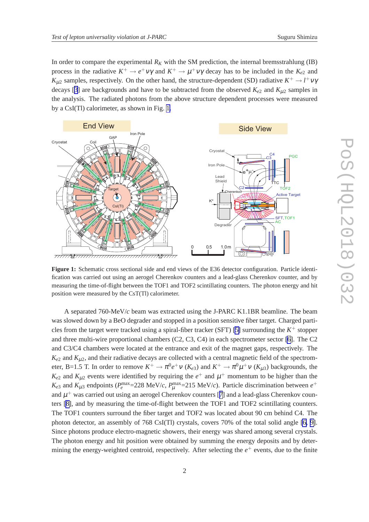<span id="page-2-0"></span>In order to compare the experimental  $R_K$  with the SM prediction, the internal bremsstrahlung (IB) process in the radiative  $K^+ \to e^+ \nu \gamma$  and  $K^+ \to \mu^+ \nu \gamma$  decay has to be included in the  $K_{e2}$  and *K*<sub>µ2</sub> samples, respectively. On the other hand, the structure-dependent (SD) radiative  $K^+ \to l^+ \nu \gamma$ decays [[3](#page-6-0)] are backgrounds and have to be subtracted from the observed  $K_{e2}$  and  $K_{\mu2}$  samples in the analysis. The radiated photons from the above structure dependent processes were measured by a CsI(Tl) calorimeter, as shown in Fig. 1.



**Figure 1:** Schematic cross sectional side and end views of the E36 detector configuration. Particle identification was carried out using an aerogel Cherenkov counters and a lead-glass Cherenkov counter, and by measuring the time-of-flight between the TOF1 and TOF2 scintillating counters. The photon energy and hit position were measured by the CsT(Tl) calorimeter.

A separated 760-MeV/*c* beam was extracted using the J-PARC K1.1BR beamline. The beam was slowed down by a BeO degrader and stopped in a position sensitive fiber target. Charged parti-cles from the target were tracked using a spiral-fiber tracker (SFT) [\[5\]](#page-6-0) surrounding the  $K^+$  stopper and three multi-wire proportional chambers (C2, C3, C4) in each spectrometer sector [\[6\]](#page-6-0). The C2 and C3/C4 chambers were located at the entrance and exit of the magnet gaps, respectively. The  $K_{e2}$  and  $K_{\mu2}$ , and their radiative decays are collected with a central magnetic field of the spectrometer, B=1.5 T. In order to remove  $K^+ \to \pi^0 e^+ \nu$  ( $K_{e3}$ ) and  $K^+ \to \pi^0 \mu^+ \nu$  ( $K_{\mu 3}$ ) backgrounds, the  $K_{e2}$  and  $K_{\mu 2}$  events were identified by requiring the  $e^+$  and  $\mu^+$  momentum to be higher than the  $K_{e3}$  and  $K_{\mu 3}$  endpoints ( $P_e^{\text{max}}$ =228 MeV/*c*,  $P_{\mu}^{\text{max}}$ =215 MeV/*c*). Particle discrimination between  $e^+$ and  $\mu^+$  was carried out using an aerogel Cherenkov counters [[7](#page-6-0)] and a lead-glass Cherenkov counters [\[8\]](#page-6-0), and by measuring the time-of-flight between the TOF1 and TOF2 scintillating counters. The TOF1 counters surround the fiber target and TOF2 was located about 90 cm behind C4. The photon detector, an assembly of 768 CsI(Tl) crystals, covers 70% of the total solid angle [\[6, 9\]](#page-6-0). Since photons produce electro-magnetic showers, their energy was shared among several crystals. The photon energy and hit position were obtained by summing the energy deposits and by determining the energy-weighted centroid, respectively. After selecting the  $e^+$  events, due to the finite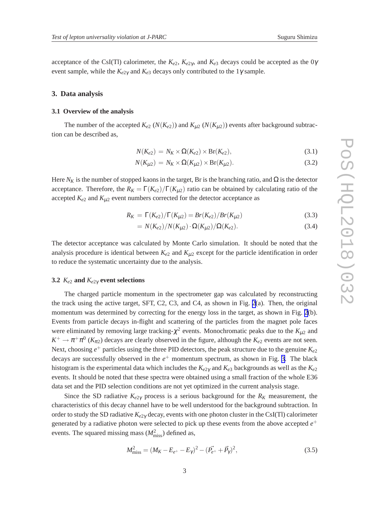acceptance of the CsI(Tl) calorimeter, the  $K_{e2}$ ,  $K_{e2\gamma}$ , and  $K_{e3}$  decays could be accepted as the 0 $\gamma$ event sample, while the  $K_{e2\gamma}$  and  $K_{e3}$  decays only contributed to the 1 $\gamma$  sample.

#### **3. Data analysis**

#### **3.1 Overview of the analysis**

The number of the accepted  $K_{e2}$  ( $N(K_{e2})$ ) and  $K_{\mu2}$  ( $N(K_{\mu2})$ ) events after background subtraction can be described as,

$$
N(K_{e2}) = N_K \times \Omega(K_{e2}) \times \text{Br}(K_{e2}), \qquad (3.1)
$$

$$
N(K_{\mu 2}) = N_K \times \Omega(K_{\mu 2}) \times \text{Br}(K_{\mu 2}).
$$
\n(3.2)

Here  $N_K$  is the number of stopped kaons in the target, Br is the branching ratio, and  $\Omega$  is the detector acceptance. Therefore, the  $R_K = \Gamma(K_{e2})/\Gamma(K_{u2})$  ratio can be obtained by calculating ratio of the accepted  $K_{e2}$  and  $K_{\mu2}$  event numbers corrected for the detector acceptance as

$$
R_K = \Gamma(K_{e2})/\Gamma(K_{\mu 2}) = Br(K_{e2})/Br(K_{\mu 2})
$$
\n(3.3)

$$
= N(K_{e2})/N(K_{\mu2}) \cdot \Omega(K_{\mu2})/\Omega(K_{e2}). \tag{3.4}
$$

The detector acceptance was calculated by Monte Carlo simulation. It should be noted that the analysis procedure is identical between  $K_{e2}$  and  $K_{\mu2}$  except for the particle identification in order to reduce the systematic uncertainty due to the analysis.

#### **3.2**  $K_{e2}$  and  $K_{e2\gamma}$  event selections

The charged particle momentum in the spectrometer gap was calculated by reconstructing the track using the active target, SFT, C2, C3, and C4, as shown in Fig. [2](#page-4-0)(a). Then, the original momentum was determined by correcting for the energy loss in the target, as shown in Fig. [2](#page-4-0)(b). Events from particle decays in-flight and scattering of the particles from the magnet pole faces were eliminated by removing large tracking- $\chi^2$  events. Monochromatic peaks due to the  $K_{\mu 2}$  and  $K^+ \to \pi^+ \pi^0$  ( $K_{\pi^2}$ ) decays are clearly observed in the figure, although the  $K_{e^2}$  events are not seen. Next, choosing *e* <sup>+</sup> particles using the three PID detectors, the peak structure due to the genuine *Ke*<sup>2</sup> decays are successfully observed in the *e* <sup>+</sup> momentum spectrum, as shown in Fig. [3](#page-4-0). The black histogram is the experimental data which includes the *Ke*2<sup>γ</sup> and *Ke*<sup>3</sup> backgrounds as well as the *Ke*<sup>2</sup> events. It should be noted that these spectra were obtained using a small fraction of the whole E36 data set and the PID selection conditions are not yet optimized in the current analysis stage.

Since the SD radiative  $K_{e2\gamma}$  process is a serious background for the  $R_K$  measurement, the characteristics of this decay channel have to be well understood for the background subtraction. In order to study the SD radiative *Ke*2<sup>γ</sup> decay, events with one photon cluster in the CsI(Tl) calorimeter generated by a radiative photon were selected to pick up these events from the above accepted *e* + events. The squared missing mass  $(M<sub>miss</sub><sup>2</sup>)$  defined as,

$$
M_{\text{miss}}^2 = (M_K - E_{e^+} - E_{\gamma})^2 - (\vec{P_{e^+}} + \vec{P}_{\gamma})^2, \tag{3.5}
$$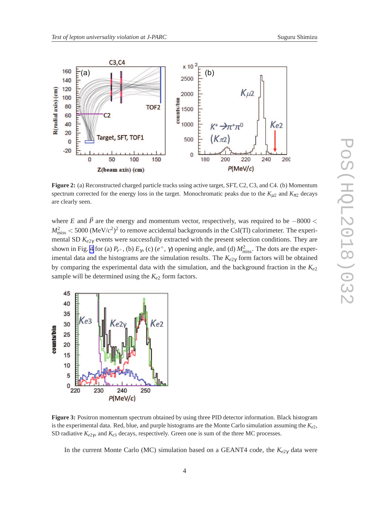<span id="page-4-0"></span>

**Figure 2:** (a) Reconstructed charged particle tracks using active target, SFT, C2, C3, and C4. (b) Momentum spectrum corrected for the energy loss in the target. Monochromatic peaks due to the  $K_{\mu2}$  and  $K_{\pi2}$  decays are clearly seen.

where *E* and  $\vec{P}$  are the energy and momentum vector, respectively, was required to be  $-8000 <$  $M^2_{\text{miss}} < 5000 \, (\text{MeV}/c^2)^2$  to remove accidental backgrounds in the CsI(Tl) calorimeter. The experimental SD *Ke*2<sup>γ</sup> events were successfully extracted with the present selection conditions. They are shown in Fig. [4](#page-5-0) for (a)  $P_{e^+}$ , (b)  $E_{\gamma}$ , (c)  $(e^+, \gamma)$  opening angle, and (d)  $M_{\text{miss}}^2$ . The dots are the experimental data and the histograms are the simulation results. The *Ke*2<sup>γ</sup> form factors will be obtained by comparing the experimental data with the simulation, and the background fraction in the *Ke*<sup>2</sup> sample will be determined using the  $K_{e2}$  form factors.



**Figure 3:** Positron momentum spectrum obtained by using three PID detector information. Black histogram is the experimental data. Red, blue, and purple histograms are the Monte Carlo simulation assuming the *Ke*2, SD radiative  $K_{e2\gamma}$ , and  $K_{e3}$  decays, respectively. Green one is sum of the three MC processes.

In the current Monte Carlo (MC) simulation based on a GEANT4 code, the *Ke*2<sup>γ</sup> data were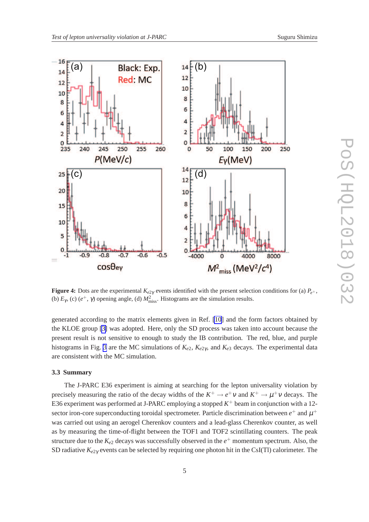<span id="page-5-0"></span>

**Figure 4:** Dots are the experimental  $K_{e2\gamma}$  events identified with the present selection conditions for (a)  $P_{e^+}$ , (b)  $E_{\gamma}$ , (c) ( $e^+$ ,  $\gamma$ ) opening angle, (d)  $M_{\text{miss}}^2$ . Histograms are the simulation results.

generated according to the matrix elements given in Ref. [\[10](#page-6-0)] and the form factors obtained by the KLOE group [\[3\]](#page-6-0) was adopted. Here, only the SD process was taken into account because the present result is not sensitive to enough to study the IB contribution. The red, blue, and purple histograms in Fig. [3](#page-4-0) are the MC simulations of *Ke*2, *Ke*2<sup>γ</sup> , and *Ke*<sup>3</sup> decays. The experimental data are consistent with the MC simulation.

#### **3.3 Summary**

The J-PARC E36 experiment is aiming at searching for the lepton universality violation by precisely measuring the ratio of the decay widths of the  $K^+ \to e^+ \nu$  and  $K^+ \to \mu^+ \nu$  decays. The E36 experiment was performed at J-PARC employing a stopped  $K^+$  beam in conjunction with a 12sector iron-core superconducting toroidal spectrometer. Particle discrimination between  $e^+$  and  $\mu^+$ was carried out using an aerogel Cherenkov counters and a lead-glass Cherenkov counter, as well as by measuring the time-of-flight between the TOF1 and TOF2 scintillating counters. The peak structure due to the  $K_{e2}$  decays was successfully observed in the  $e^+$  momentum spectrum. Also, the SD radiative *Ke*2<sup>γ</sup> events can be selected by requiring one photon hit in the CsI(Tl) calorimeter. The